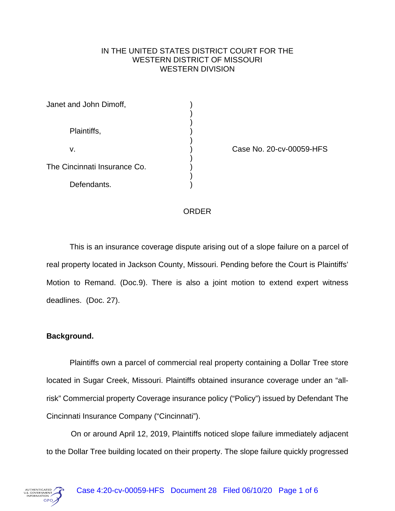## IN THE UNITED STATES DISTRICT COURT FOR THE WESTERN DISTRICT OF MISSOURI WESTERN DIVISION

| Janet and John Dimoff,       |  |
|------------------------------|--|
| Plaintiffs,                  |  |
| v.                           |  |
| The Cincinnati Insurance Co. |  |
| Defendants.                  |  |

Case No. 20-cv-00059-HFS

## ORDER

This is an insurance coverage dispute arising out of a slope failure on a parcel of real property located in Jackson County, Missouri. Pending before the Court is Plaintiffs' Motion to Remand. (Doc.9). There is also a joint motion to extend expert witness deadlines. (Doc. 27).

# **Background.**

Plaintiffs own a parcel of commercial real property containing a Dollar Tree store located in Sugar Creek, Missouri. Plaintiffs obtained insurance coverage under an "allrisk" Commercial property Coverage insurance policy ("Policy") issued by Defendant The Cincinnati Insurance Company ("Cincinnati").

On or around April 12, 2019, Plaintiffs noticed slope failure immediately adjacent to the Dollar Tree building located on their property. The slope failure quickly progressed

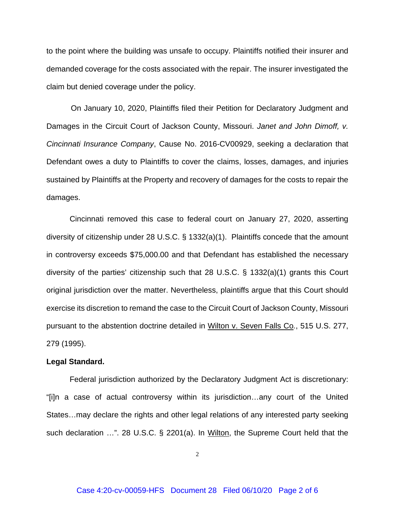to the point where the building was unsafe to occupy. Plaintiffs notified their insurer and demanded coverage for the costs associated with the repair. The insurer investigated the claim but denied coverage under the policy.

On January 10, 2020, Plaintiffs filed their Petition for Declaratory Judgment and Damages in the Circuit Court of Jackson County, Missouri. *Janet and John Dimoff, v. Cincinnati Insurance Company*, Cause No. 2016-CV00929, seeking a declaration that Defendant owes a duty to Plaintiffs to cover the claims, losses, damages, and injuries sustained by Plaintiffs at the Property and recovery of damages for the costs to repair the damages.

Cincinnati removed this case to federal court on January 27, 2020, asserting diversity of citizenship under 28 U.S.C. § 1332(a)(1). Plaintiffs concede that the amount in controversy exceeds \$75,000.00 and that Defendant has established the necessary diversity of the parties' citizenship such that 28 U.S.C. § 1332(a)(1) grants this Court original jurisdiction over the matter. Nevertheless, plaintiffs argue that this Court should exercise its discretion to remand the case to the Circuit Court of Jackson County, Missouri pursuant to the abstention doctrine detailed in Wilton v. Seven Falls Co*.*, 515 U.S. 277, 279 (1995).

## **Legal Standard.**

Federal jurisdiction authorized by the Declaratory Judgment Act is discretionary: "[i]n a case of actual controversy within its jurisdiction…any court of the United States…may declare the rights and other legal relations of any interested party seeking such declaration …". 28 U.S.C. § 2201(a). In Wilton, the Supreme Court held that the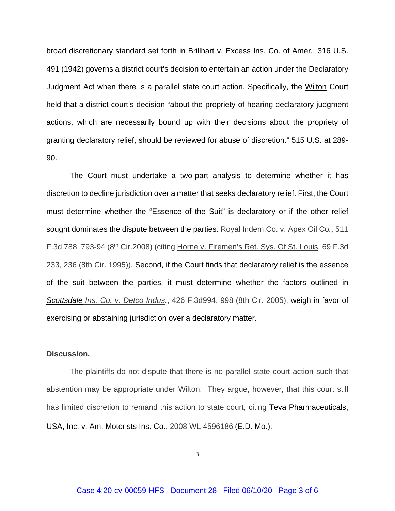broad discretionary standard set forth in Brillhart v. Excess Ins. Co. of Amer*.*, 316 U.S. 491 (1942) governs a district court's decision to entertain an action under the Declaratory Judgment Act when there is a parallel state court action. Specifically, the Wilton Court held that a district court's decision "about the propriety of hearing declaratory judgment actions, which are necessarily bound up with their decisions about the propriety of granting declaratory relief, should be reviewed for abuse of discretion." 515 U.S. at 289- 90.

The Court must undertake a two-part analysis to determine whether it has discretion to decline jurisdiction over a matter that seeks declaratory relief. First, the Court must determine whether the "Essence of the Suit" is declaratory or if the other relief sought dominates the dispute between the parties. Royal Indem.Co. v. Apex Oil Co*.*, 511 F.3d 788, 793-94 (8th Cir.2008) (citing Horne v. Firemen's Ret. Sys. Of St. Louis, 69 F.3d 233, 236 (8th Cir. 1995)). Second, if the Court finds that declaratory relief is the essence of the suit between the parties, it must determine whether the factors outlined in *Scottsdale Ins. Co. v. Detco Indus.*, 426 F.3d994, 998 (8th Cir. 2005), weigh in favor of exercising or abstaining jurisdiction over a declaratory matter.

#### **Discussion.**

The plaintiffs do not dispute that there is no parallel state court action such that abstention may be appropriate under Wilton. They argue, however, that this court still has limited discretion to remand this action to state court, citing Teva Pharmaceuticals, USA, Inc. v. Am. Motorists Ins. Co., 2008 WL 4596186 (E.D. Mo.).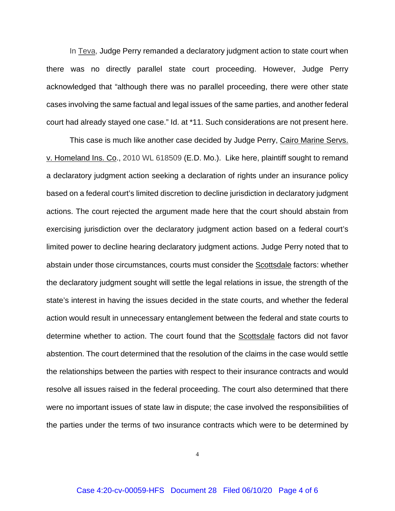In Teva, Judge Perry remanded a declaratory judgment action to state court when there was no directly parallel state court proceeding. However, Judge Perry acknowledged that "although there was no parallel proceeding, there were other state cases involving the same factual and legal issues of the same parties, and another federal court had already stayed one case." Id. at \*11. Such considerations are not present here.

This case is much like another case decided by Judge Perry, Cairo Marine Servs. v. Homeland Ins. Co., 2010 WL 618509 (E.D. Mo.). Like here, plaintiff sought to remand a declaratory judgment action seeking a declaration of rights under an insurance policy based on a federal court's limited discretion to decline jurisdiction in declaratory judgment actions. The court rejected the argument made here that the court should abstain from exercising jurisdiction over the declaratory judgment action based on a federal court's limited power to decline hearing declaratory judgment actions. Judge Perry noted that to abstain under those circumstances, courts must consider the Scottsdale factors: whether the declaratory judgment sought will settle the legal relations in issue, the strength of the state's interest in having the issues decided in the state courts, and whether the federal action would result in unnecessary entanglement between the federal and state courts to determine whether to action. The court found that the Scottsdale factors did not favor abstention. The court determined that the resolution of the claims in the case would settle the relationships between the parties with respect to their insurance contracts and would resolve all issues raised in the federal proceeding. The court also determined that there were no important issues of state law in dispute; the case involved the responsibilities of the parties under the terms of two insurance contracts which were to be determined by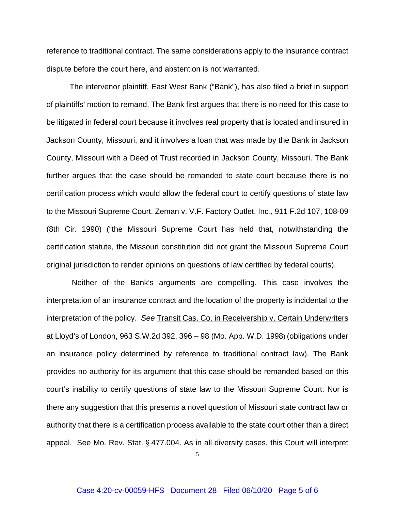reference to traditional contract. The same considerations apply to the insurance contract dispute before the court here, and abstention is not warranted.

The intervenor plaintiff, East West Bank ("Bank"), has also filed a brief in support of plaintiffs' motion to remand. The Bank first argues that there is no need for this case to be litigated in federal court because it involves real property that is located and insured in Jackson County, Missouri, and it involves a loan that was made by the Bank in Jackson County, Missouri with a Deed of Trust recorded in Jackson County, Missouri. The Bank further argues that the case should be remanded to state court because there is no certification process which would allow the federal court to certify questions of state law to the Missouri Supreme Court. Zeman v. V.F. Factory Outlet, Inc*.,* 911 F.2d 107, 108-09 (8th Cir. 1990) ("the Missouri Supreme Court has held that, notwithstanding the certification statute, the Missouri constitution did not grant the Missouri Supreme Court original jurisdiction to render opinions on questions of law certified by federal courts).

Neither of the Bank's arguments are compelling. This case involves the interpretation of an insurance contract and the location of the property is incidental to the interpretation of the policy. *See* Transit Cas. Co. in Receivership v. Certain Underwriters at Lloyd's of London, 963 S.W.2d 392, 396 – 98 (Mo. App. W.D. 1998) (obligations under an insurance policy determined by reference to traditional contract law). The Bank provides no authority for its argument that this case should be remanded based on this court's inability to certify questions of state law to the Missouri Supreme Court. Nor is there any suggestion that this presents a novel question of Missouri state contract law or authority that there is a certification process available to the state court other than a direct appeal. See Mo. Rev. Stat. § 477.004. As in all diversity cases, this Court will interpret